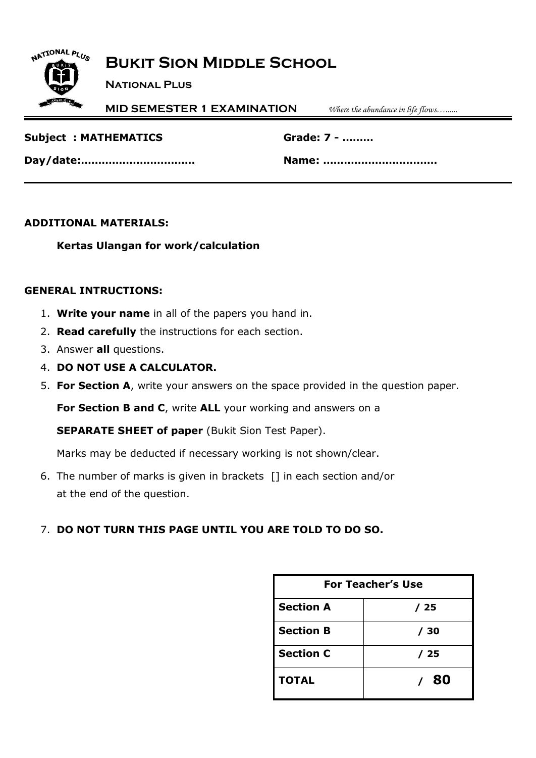# **Bukit Sion Middle School**

**National Plus**

**MID SEMESTER 1 EXAMINATION** *Where the abundance in life flows…......*

| <b>Subject : MATHEMATICS</b> |  |
|------------------------------|--|
|                              |  |

**Subject : MATHEMATICS Grade: 7 - ………**

**Day/date:…………………………… Name: ……………………………**

### **ADDITIONAL MATERIALS:**

NATIONAL PLUS

### **Kertas Ulangan for work/calculation**

#### **GENERAL INTRUCTIONS:**

- 1. **Write your name** in all of the papers you hand in.
- 2. **Read carefully** the instructions for each section.
- 3. Answer **all** questions.
- 4. **DO NOT USE A CALCULATOR.**
- 5. **For Section A**, write your answers on the space provided in the question paper.

**For Section B and C**, write **ALL** your working and answers on a

**SEPARATE SHEET of paper** (Bukit Sion Test Paper).

Marks may be deducted if necessary working is not shown/clear.

6. The number of marks is given in brackets [] in each section and/or at the end of the question.

### 7. **DO NOT TURN THIS PAGE UNTIL YOU ARE TOLD TO DO SO.**

| <b>For Teacher's Use</b> |      |  |  |
|--------------------------|------|--|--|
| <b>Section A</b><br>/ 25 |      |  |  |
| <b>Section B</b>         | / 30 |  |  |
| <b>Section C</b>         | / 25 |  |  |
| <b>TOTAL</b>             | 80   |  |  |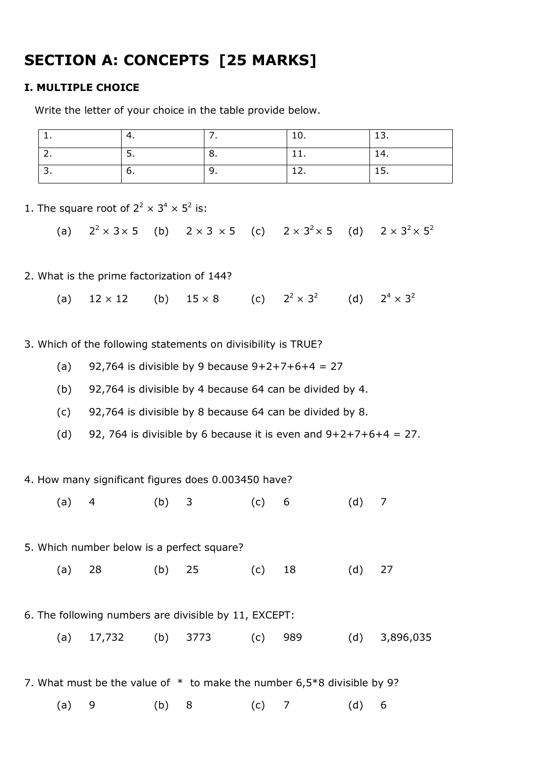# **SECTION A: CONCEPTS [25 MARKS]**

#### **I. MULTIPLE CHOICE**

Write the letter of your choice in the table provide below.

| . .      |          | TO. | .   |
|----------|----------|-----|-----|
| <u>.</u> | J.       |     | . . |
| v.       | <u>.</u> | --  | .   |

1. The square root of  $2^2 \times 3^4 \times 5^2$  is:

(a)  $2^2 \times 3 \times 5$  (b)  $2 \times 3 \times 5$  (c)  $2 \times 3^2 \times 5$  (d)  $2 \times 3^2 \times 5^2$ 

2. What is the prime factorization of 144?

(a)  $12 \times 12$  (b)  $15 \times 8$  $2 \times 3^2$ (d)  $2^4 \times 3^2$ 

3. Which of the following statements on divisibility is TRUE?

- (a) 92,764 is divisible by 9 because  $9+2+7+6+4 = 27$
- (b) 92,764 is divisible by 4 because 64 can be divided by 4.
- (c) 92,764 is divisible by 8 because 64 can be divided by 8.
- (d) 92, 764 is divisible by 6 because it is even and  $9+2+7+6+4 = 27$ .

4. How many significant figures does 0.003450 have?

(a) 4 (b) 3 (c) 6 (d) 7

5. Which number below is a perfect square?

- (a) 28 (b) 25 (c) 18 (d) 27
- 6. The following numbers are divisible by 11, EXCEPT:
	- (a) 17,732 (b) 3773 (c) 989 (d) 3,896,035
- 7. What must be the value of  $*$  to make the number 6,5 $*$ 8 divisible by 9?

(a) 9 (b) 8 (c) 7 (d) 6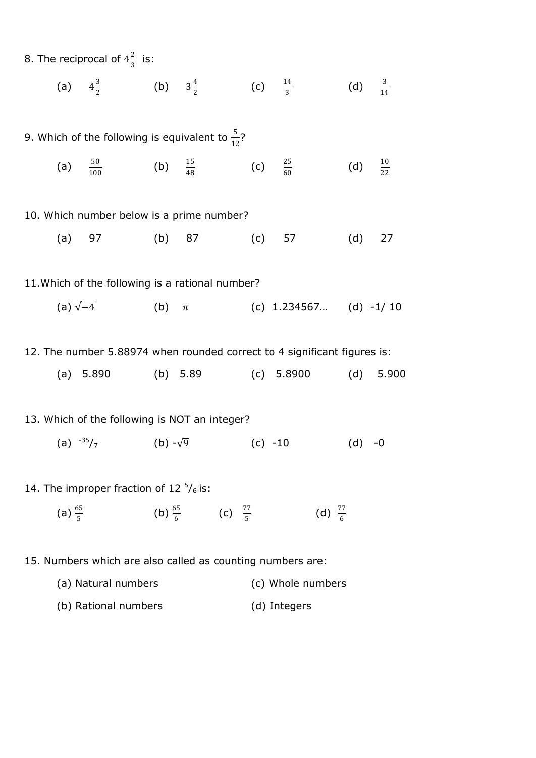|                                                  |  | 8. The reciprocal of $4\frac{2}{3}$ is: |  |                                                              |  |                                                                             |                     |  |
|--------------------------------------------------|--|-----------------------------------------|--|--------------------------------------------------------------|--|-----------------------------------------------------------------------------|---------------------|--|
|                                                  |  |                                         |  |                                                              |  | (a) $4\frac{3}{2}$ (b) $3\frac{4}{2}$ (c) $\frac{14}{3}$ (d) $\frac{3}{14}$ |                     |  |
|                                                  |  |                                         |  | 9. Which of the following is equivalent to $\frac{5}{12}$ ?  |  |                                                                             |                     |  |
|                                                  |  |                                         |  | (a) $\frac{50}{100}$ (b) $\frac{15}{48}$ (c) $\frac{25}{60}$ |  |                                                                             | (d) $\frac{10}{22}$ |  |
|                                                  |  |                                         |  | 10. Which number below is a prime number?                    |  |                                                                             |                     |  |
|                                                  |  |                                         |  | (a) 97 (b) 87 (c) 57                                         |  |                                                                             | $(d)$ 27            |  |
| 11. Which of the following is a rational number? |  |                                         |  |                                                              |  |                                                                             |                     |  |
|                                                  |  |                                         |  |                                                              |  | (a) $\sqrt{-4}$ (b) $\pi$ (c) 1.234567 (d) -1/10                            |                     |  |
|                                                  |  |                                         |  |                                                              |  |                                                                             |                     |  |

12. The number 5.88974 when rounded correct to 4 significant figures is:

(a) 5.890 (b) 5.89 (c) 5.8900 (d) 5.900

### 13. Which of the following is NOT an integer?

- (a)  $-35/7$  (b)  $-\sqrt{9}$  (c)  $-10$  (d)  $-0$
- 14. The improper fraction of 12 $\frac{5}{6}$  is:
	- (a)  $\frac{65}{5}$  $rac{55}{5}$  (b)  $rac{65}{6}$  $rac{55}{6}$  (c)  $rac{77}{5}$  $\frac{77}{5}$  (d)  $\frac{77}{6}$
- 15. Numbers which are also called as counting numbers are:
	- (a) Natural numbers (c) Whole numbers
	- (b) Rational numbers (d) Integers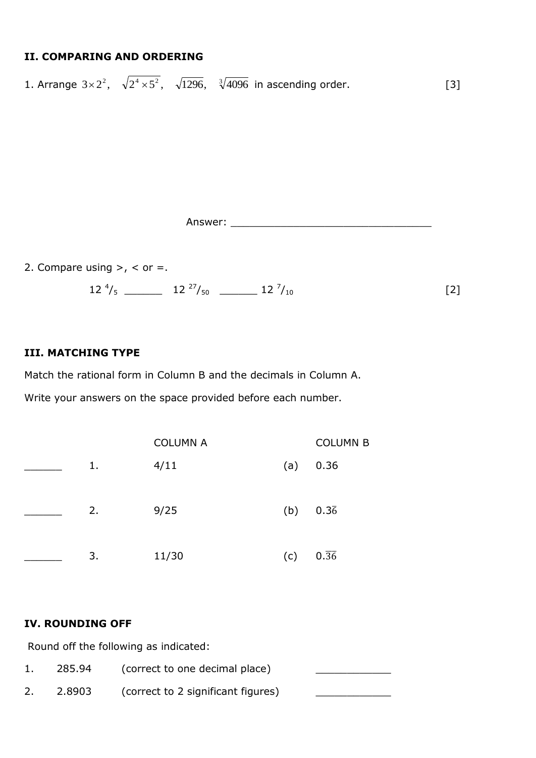### **II. COMPARING AND ORDERING**

1. Arrange  $3 \times 2^2$ ,  $\sqrt{2^4 \times 5^2}$ ,  $\sqrt{1296}$ ,  $\sqrt[3]{4096}$  in ascending order. [3]

Answer: \_\_\_\_\_\_\_\_\_\_\_\_\_\_\_\_\_\_\_\_\_\_\_\_\_\_\_\_\_\_\_\_

2. Compare using  $>$ ,  $<$  or  $=$ .

 $12 \frac{4}{5}$  12 $\frac{27}{50}$  12 $\frac{12 \frac{7}{50}}{12 \frac{7}{50}}$  $/_{10}$  [2]

#### **III. MATCHING TYPE**

Match the rational form in Column B and the decimals in Column A.

Write your answers on the space provided before each number.

|    | <b>COLUMN A</b> |     | <b>COLUMN B</b>   |
|----|-----------------|-----|-------------------|
| 1. | 4/11            | (a) | 0.36              |
| 2. | 9/25            | (b) | 0.36              |
| 3. | 11/30           | (c) | $0.\overline{36}$ |

#### **IV. ROUNDING OFF**

Round off the following as indicated:

1. 285.94 (correct to one decimal place) 2. 2.8903 (correct to 2 significant figures)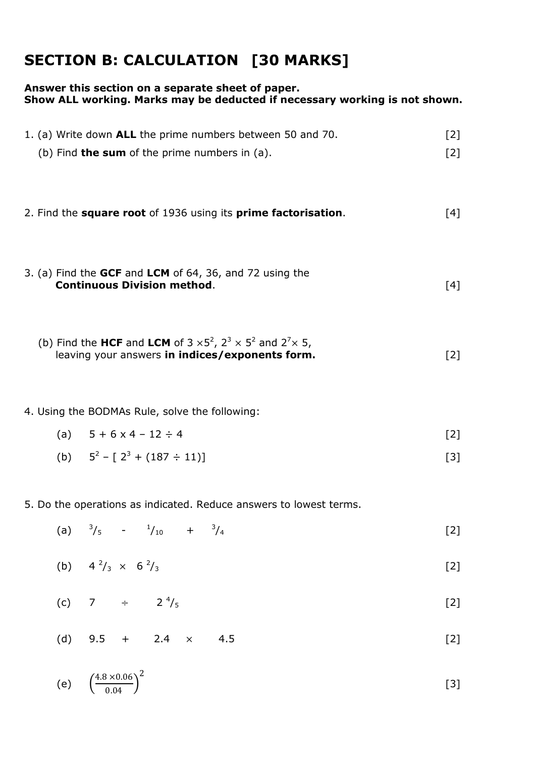# **SECTION B: CALCULATION [30 MARKS]**

### **Answer this section on a separate sheet of paper. Show ALL working. Marks may be deducted if necessary working is not shown.**

| 1. (a) Write down ALL the prime numbers between 50 and 70.                                    | [2] |
|-----------------------------------------------------------------------------------------------|-----|
| (b) Find <b>the sum</b> of the prime numbers in $(a)$ .                                       | [2] |
|                                                                                               |     |
| 2. Find the <b>square root</b> of 1936 using its <b>prime factorisation</b> .                 | [4] |
|                                                                                               |     |
| 3. (a) Find the GCF and LCM of 64, 36, and 72 using the<br><b>Continuous Division method.</b> | [4] |
|                                                                                               |     |
|                                                                                               |     |

(b) Find the **HCF** and **LCM** of 
$$
3 \times 5^2
$$
,  $2^3 \times 5^2$  and  $2^7 \times 5$ ,  
leaving your answers **in indices/exponents form.** [2]

#### 4. Using the BODMAs Rule, solve the following:

(a) 
$$
5 + 6 \times 4 - 12 \div 4
$$
 [2]

(b) 
$$
5^2 - [2^3 + (187 \div 11)]
$$
 [3]

5. Do the operations as indicated. Reduce answers to lowest terms.

(a) 
$$
\frac{3}{5}
$$
 -  $\frac{1}{10}$  +  $\frac{3}{4}$  [2]

(b) 
$$
4^2/3 \times 6^2/3
$$
 [2]

- (c) 7  $\div$  2<sup>4</sup>/<sub>5</sub>  $/_{5}$  [2]
- (d)  $9.5 + 2.4 \times 4.5$  [2]

(e) 
$$
\left(\frac{4.8 \times 0.06}{0.04}\right)^2
$$
 [3]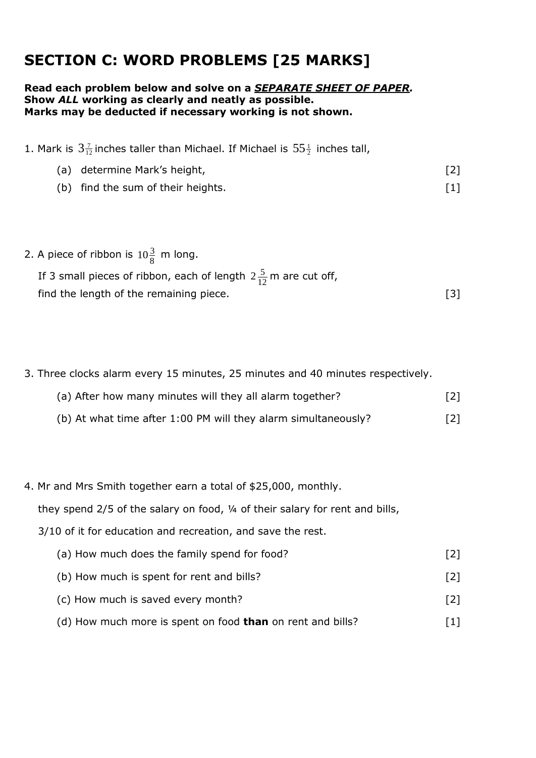# **SECTION C: WORD PROBLEMS [25 MARKS]**

#### **Read each problem below and solve on a** *SEPARATE SHEET OF PAPER.* **Show** *ALL* **working as clearly and neatly as possible. Marks may be deducted if necessary working is not shown.**

| 1. Mark is $3\frac{7}{12}$ inches taller than Michael. If Michael is $55\frac{1}{2}$ inches tall, |                   |
|---------------------------------------------------------------------------------------------------|-------------------|
| (a) determine Mark's height,                                                                      | $[2]$             |
| (b) find the sum of their heights.                                                                | $\lceil 1 \rceil$ |

2. A piece of ribbon is  $10\frac{3}{8}$  m long.

| If 3 small pieces of ribbon, each of length $2\frac{5}{12}$ m are cut off, |  |
|----------------------------------------------------------------------------|--|
| find the length of the remaining piece.                                    |  |

3. Three clocks alarm every 15 minutes, 25 minutes and 40 minutes respectively.

| (a) After how many minutes will they all alarm together?       | $[2]$ |
|----------------------------------------------------------------|-------|
| (b) At what time after 1:00 PM will they alarm simultaneously? | $[2]$ |

4. Mr and Mrs Smith together earn a total of \$25,000, monthly.

they spend 2/5 of the salary on food, ¼ of their salary for rent and bills,

3/10 of it for education and recreation, and save the rest.

| (a) How much does the family spend for food? |                   |
|----------------------------------------------|-------------------|
| (b) How much is spent for rent and bills?    | $\lceil 2 \rceil$ |

- (c) How much is saved every month? [2]
- (d) How much more is spent on food **than** on rent and bills? [1]